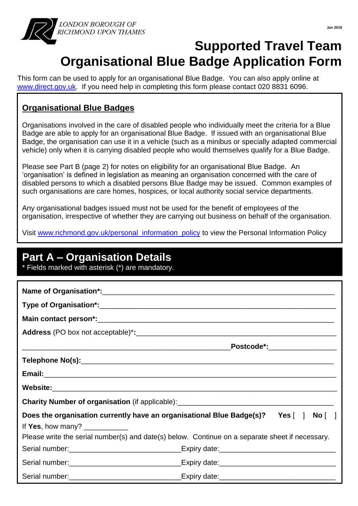

## **Supported Travel Team Organisational Blue Badge Application Form**

This form can be used to apply for an organisational Blue Badge. You can also apply online at [www.direct.gov.uk.](http://www.direct.gov.uk/) If you need help in completing this form please contact 020 8831 6096.

### **Organisational Blue Badges**

I

Organisations involved in the care of disabled people who individually meet the criteria for a Blue Badge are able to apply for an organisational Blue Badge. If issued with an organisational Blue Badge, the organisation can use it in a vehicle (such as a minibus or specially adapted commercial vehicle) only when it is carrying disabled people who would themselves qualify for a Blue Badge.

Please see Part B (page 2) for notes on eligibility for an organisational Blue Badge. An 'organisation' is defined in legislation as meaning an organisation concerned with the care of disabled persons to which a disabled persons Blue Badge may be issued. Common examples of such organisations are care homes, hospices, or local authority social service departments.

Any organisational badges issued must not be used for the benefit of employees of the organisation, irrespective of whether they are carrying out business on behalf of the organisation.

Visit [www.richmond.gov.uk/personal\\_information\\_policy](http://www.richmond.gov.uk/personal_information_policy) to view the Personal Information Policy

### **Part A – Organisation Details**

\* Fields marked with asterisk (\*) are mandatory.

|                                                                                                                                                            | Postcode*:___________________                                                        |  |  |
|------------------------------------------------------------------------------------------------------------------------------------------------------------|--------------------------------------------------------------------------------------|--|--|
|                                                                                                                                                            |                                                                                      |  |  |
|                                                                                                                                                            |                                                                                      |  |  |
|                                                                                                                                                            |                                                                                      |  |  |
| Charity Number of organisation (if applicable): _________________________________                                                                          |                                                                                      |  |  |
| If Yes, how many? $\frac{1}{2}$ Mass and Yes, how many?<br>Please write the serial number(s) and date(s) below. Continue on a separate sheet if necessary. | Does the organisation currently have an organisational Blue Badge(s)? Yes [ ] No [ ] |  |  |
|                                                                                                                                                            |                                                                                      |  |  |
|                                                                                                                                                            | Serial number:___________________________________Expiry date:____________________    |  |  |
|                                                                                                                                                            | Serial number:___________________________________Expiry date:____________________    |  |  |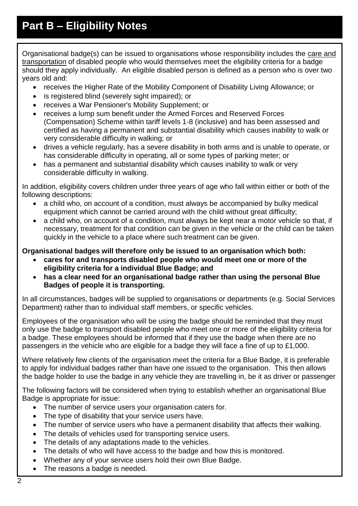Organisational badge(s) can be issued to organisations whose responsibility includes the care and transportation of disabled people who would themselves meet the eligibility criteria for a badge should they apply individually. An eligible disabled person is defined as a person who is over two years old and:

- receives the Higher Rate of the Mobility Component of Disability Living Allowance; or
- is registered blind (severely sight impaired); or
- receives a War Pensioner's Mobility Supplement; or
- receives a lump sum benefit under the Armed Forces and Reserved Forces (Compensation) Scheme within tariff levels 1-8 (inclusive) and has been assessed and certified as having a permanent and substantial disability which causes inability to walk or very considerable difficulty in walking; or
- drives a vehicle regularly, has a severe disability in both arms and is unable to operate, or has considerable difficulty in operating, all or some types of parking meter; or
- has a permanent and substantial disability which causes inability to walk or very considerable difficulty in walking.

In addition, eligibility covers children under three years of age who fall within either or both of the following descriptions:

- a child who, on account of a condition, must always be accompanied by bulky medical equipment which cannot be carried around with the child without great difficulty;
- a child who, on account of a condition, must always be kept near a motor vehicle so that, if necessary, treatment for that condition can be given in the vehicle or the child can be taken quickly in the vehicle to a place where such treatment can be given.

### **Organisational badges will therefore only be issued to an organisation which both:**

- **cares for and transports disabled people who would meet one or more of the eligibility criteria for a individual Blue Badge; and**
- **has a clear need for an organisational badge rather than using the personal Blue Badges of people it is transporting.**

In all circumstances, badges will be supplied to organisations or departments (e.g. Social Services Department) rather than to individual staff members, or specific vehicles.

Employees of the organisation who will be using the badge should be reminded that they must only use the badge to transport disabled people who meet one or more of the eligibility criteria for a badge. These employees should be informed that if they use the badge when there are no passengers in the vehicle who are eligible for a badge they will face a fine of up to £1,000.

Where relatively few clients of the organisation meet the criteria for a Blue Badge, it is preferable to apply for individual badges rather than have one issued to the organisation. This then allows the badge holder to use the badge in any vehicle they are travelling in, be it as driver or passenger.

The following factors will be considered when trying to establish whether an organisational Blue Badge is appropriate for issue:

- The number of service users your organisation caters for.
- The type of disability that your service users have.
- The number of service users who have a permanent disability that affects their walking.
- The details of vehicles used for transporting service users.
- The details of any adaptations made to the vehicles.
- The details of who will have access to the badge and how this is monitored.
- Whether any of your service users hold their own Blue Badge.
- The reasons a badge is needed.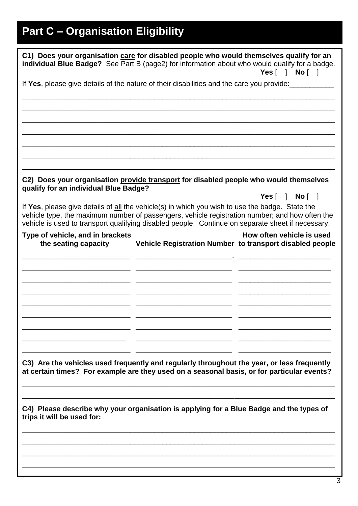# **Part C – Organisation Eligibility**

| C1) Does your organisation care for disabled people who would themselves qualify for an<br>individual Blue Badge? See Part B (page2) for information about who would qualify for a badge.<br>Yes[ ] No[ ]                                                                                                              |  |  |  |  |
|------------------------------------------------------------------------------------------------------------------------------------------------------------------------------------------------------------------------------------------------------------------------------------------------------------------------|--|--|--|--|
| If Yes, please give details of the nature of their disabilities and the care you provide:                                                                                                                                                                                                                              |  |  |  |  |
|                                                                                                                                                                                                                                                                                                                        |  |  |  |  |
|                                                                                                                                                                                                                                                                                                                        |  |  |  |  |
|                                                                                                                                                                                                                                                                                                                        |  |  |  |  |
|                                                                                                                                                                                                                                                                                                                        |  |  |  |  |
| C2) Does your organisation provide transport for disabled people who would themselves<br>qualify for an individual Blue Badge?                                                                                                                                                                                         |  |  |  |  |
| Yes[ ] No[ ]<br>If Yes, please give details of all the vehicle(s) in which you wish to use the badge. State the<br>vehicle type, the maximum number of passengers, vehicle registration number; and how often the<br>vehicle is used to transport qualifying disabled people. Continue on separate sheet if necessary. |  |  |  |  |
| How often vehicle is used<br>Type of vehicle, and in brackets<br>Vehicle Registration Number to transport disabled people<br>the seating capacity                                                                                                                                                                      |  |  |  |  |
|                                                                                                                                                                                                                                                                                                                        |  |  |  |  |
|                                                                                                                                                                                                                                                                                                                        |  |  |  |  |
|                                                                                                                                                                                                                                                                                                                        |  |  |  |  |
|                                                                                                                                                                                                                                                                                                                        |  |  |  |  |
| C3) Are the vehicles used frequently and regularly throughout the year, or less frequently<br>at certain times? For example are they used on a seasonal basis, or for particular events?                                                                                                                               |  |  |  |  |
| C4) Please describe why your organisation is applying for a Blue Badge and the types of<br>trips it will be used for:                                                                                                                                                                                                  |  |  |  |  |
|                                                                                                                                                                                                                                                                                                                        |  |  |  |  |
|                                                                                                                                                                                                                                                                                                                        |  |  |  |  |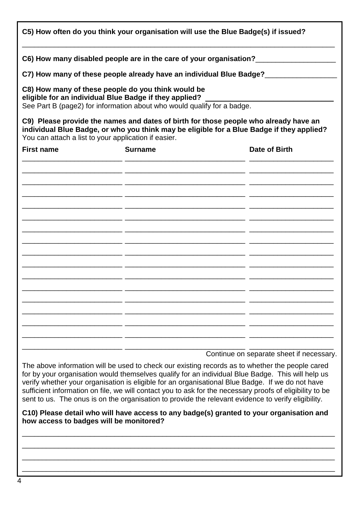| C5) How often do you think your organisation will use the Blue Badge(s) if issued? |                                                                                                                                                                                         |                                                                                                                                                                                   |  |  |
|------------------------------------------------------------------------------------|-----------------------------------------------------------------------------------------------------------------------------------------------------------------------------------------|-----------------------------------------------------------------------------------------------------------------------------------------------------------------------------------|--|--|
|                                                                                    |                                                                                                                                                                                         | C6) How many disabled people are in the care of your organisation?_______________                                                                                                 |  |  |
|                                                                                    |                                                                                                                                                                                         | C7) How many of these people already have an individual Blue Badge?_____________                                                                                                  |  |  |
|                                                                                    | C8) How many of these people do you think would be<br>eligible for an individual Blue Badge if they applied?<br>See Part B (page2) for information about who would qualify for a badge. |                                                                                                                                                                                   |  |  |
|                                                                                    | You can attach a list to your application if easier.                                                                                                                                    | C9) Please provide the names and dates of birth for those people who already have an<br>individual Blue Badge, or who you think may be eligible for a Blue Badge if they applied? |  |  |
| <b>First name</b>                                                                  | <b>Surname</b>                                                                                                                                                                          | Date of Birth                                                                                                                                                                     |  |  |
|                                                                                    |                                                                                                                                                                                         |                                                                                                                                                                                   |  |  |
|                                                                                    |                                                                                                                                                                                         |                                                                                                                                                                                   |  |  |
|                                                                                    |                                                                                                                                                                                         |                                                                                                                                                                                   |  |  |
|                                                                                    |                                                                                                                                                                                         |                                                                                                                                                                                   |  |  |
|                                                                                    |                                                                                                                                                                                         |                                                                                                                                                                                   |  |  |
|                                                                                    |                                                                                                                                                                                         |                                                                                                                                                                                   |  |  |
|                                                                                    |                                                                                                                                                                                         |                                                                                                                                                                                   |  |  |
|                                                                                    |                                                                                                                                                                                         |                                                                                                                                                                                   |  |  |
|                                                                                    |                                                                                                                                                                                         |                                                                                                                                                                                   |  |  |
|                                                                                    |                                                                                                                                                                                         |                                                                                                                                                                                   |  |  |
|                                                                                    |                                                                                                                                                                                         |                                                                                                                                                                                   |  |  |
|                                                                                    |                                                                                                                                                                                         |                                                                                                                                                                                   |  |  |
|                                                                                    |                                                                                                                                                                                         |                                                                                                                                                                                   |  |  |
|                                                                                    |                                                                                                                                                                                         |                                                                                                                                                                                   |  |  |
|                                                                                    |                                                                                                                                                                                         |                                                                                                                                                                                   |  |  |

Continue on separate sheet if necessary.

The above information will be used to check our existing records as to whether the people cared for by your organisation would themselves qualify for an individual Blue Badge. This will help us verify whether your organisation is eligible for an organisational Blue Badge. If we do not have sufficient information on file, we will contact you to ask for the necessary proofs of eligibility to be sent to us. The onus is on the organisation to provide the relevant evidence to verify eligibility.

#### **C10) Please detail who will have access to any badge(s) granted to your organisation and how access to badges will be monitored?**

\_\_\_\_\_\_\_\_\_\_\_\_\_\_\_\_\_\_\_\_\_\_\_\_\_\_\_\_\_\_\_\_\_\_\_\_\_\_\_\_\_\_\_\_\_\_\_\_\_\_\_\_\_\_\_\_\_\_\_\_\_\_\_\_\_\_\_\_\_\_\_\_\_\_\_\_\_\_ \_\_\_\_\_\_\_\_\_\_\_\_\_\_\_\_\_\_\_\_\_\_\_\_\_\_\_\_\_\_\_\_\_\_\_\_\_\_\_\_\_\_\_\_\_\_\_\_\_\_\_\_\_\_\_\_\_\_\_\_\_\_\_\_\_\_\_\_\_\_\_\_\_\_\_\_\_\_ \_\_\_\_\_\_\_\_\_\_\_\_\_\_\_\_\_\_\_\_\_\_\_\_\_\_\_\_\_\_\_\_\_\_\_\_\_\_\_\_\_\_\_\_\_\_\_\_\_\_\_\_\_\_\_\_\_\_\_\_\_\_\_\_\_\_\_\_\_\_\_\_\_\_\_\_\_\_ \_\_\_\_\_\_\_\_\_\_\_\_\_\_\_\_\_\_\_\_\_\_\_\_\_\_\_\_\_\_\_\_\_\_\_\_\_\_\_\_\_\_\_\_\_\_\_\_\_\_\_\_\_\_\_\_\_\_\_\_\_\_\_\_\_\_\_\_\_\_\_\_\_\_\_\_\_\_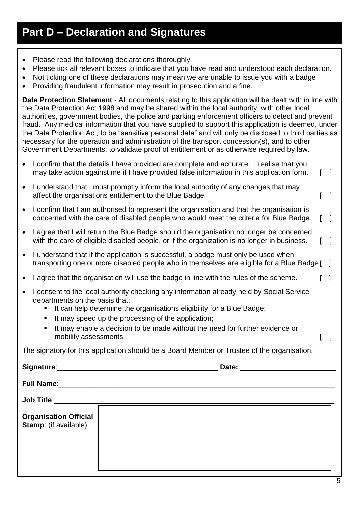### **Part D – Declaration and Signatures**

- Please read the following declarations thoroughly.
- Please tick all relevant boxes to indicate that you have read and understood each declaration.
- Not ticking one of these declarations may mean we are unable to issue you with a badge
- Providing fraudulent information may result in prosecution and a fine.

**Data Protection Statement** - All documents relating to this application will be dealt with in line with the Data Protection Act 1998 and may be shared within the local authority, with other local authorities, government bodies, the police and parking enforcement officers to detect and prevent fraud. Any medical information that you have supplied to support this application is deemed, under the Data Protection Act, to be "sensitive personal data" and will only be disclosed to third parties as necessary for the operation and administration of the transport concession(s), and to other Government Departments, to validate proof of entitlement or as otherwise required by law.

- I confirm that the details I have provided are complete and accurate. I realise that you may take action against me if I have provided false information in this application form. [1]
- I understand that I must promptly inform the local authority of any changes that may affect the organisations entitlement to the Blue Badge.
- I confirm that I am authorised to represent the organisation and that the organisation is concerned with the care of disabled people who would meet the criteria for Blue Badge. [ ]
- I agree that I will return the Blue Badge should the organisation no longer be concerned with the care of eligible disabled people, or if the organization is no longer in business. [1]
- I understand that if the application is successful, a badge must only be used when transporting one or more disabled people who in themselves are eligible for a Blue Badge [ ]
- I agree that the organisation will use the badge in line with the rules of the scheme.
- I consent to the local authority checking any information already held by Social Service departments on the basis that:
	- It can help determine the organisations eligibility for a Blue Badge;
	- It may speed up the processing of the application;
	- It may enable a decision to be made without the need for further evidence or mobility assessments **and the set of the set of the set of the set of the set of the set of the set of the set o**

The signatory for this application should be a Board Member or Trustee of the organisation.

Signature: **Example 20 and 20 and 20 and 20 and 20 and 20 and 20 and 20 and 20 and 20 and 20 and 20 and 20 and 20 and 20 and 20 and 20 and 20 and 20 and 20 and 20 and 20 and 20 and 20 and 20 and 20 and 20 and 20 and 20 and** 

**Full Name:** The state of the state of the state of the state of the state of the state of the state of the state of the state of the state of the state of the state of the state of the state of the state of the state of t

**Job Title**:\_\_\_\_\_\_\_\_\_\_\_\_\_\_\_\_\_\_\_\_\_\_\_\_\_\_\_\_\_\_\_\_\_\_\_\_\_\_\_\_\_\_\_\_\_\_\_\_\_\_\_\_\_\_\_\_\_\_\_\_\_\_\_\_\_\_\_\_\_\_ **Organisation Official Stamp**: (if available)